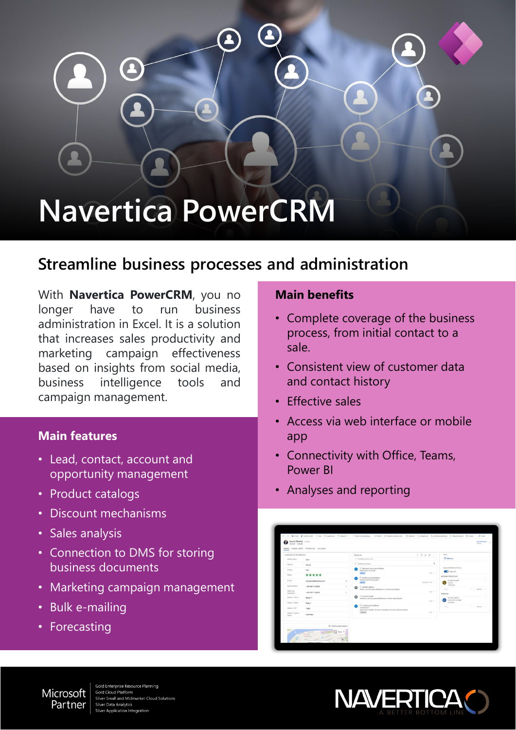# **Navertica PowerCRM**

## **Streamline business processes and administration**

With **Navertica PowerCRM**, you no longer have to run business administration in Excel. It is a solution that increases sales productivity and marketing campaign effectiveness based on insights from social media, business intelligence tools and campaign management.

#### **Main features**

- Lead, contact, account and opportunity management
- Product catalogs
- Discount mechanisms
- Sales analysis
- Connection to DMS for storing business documents
- Marketing campaign management
- Bulk e-mailing
- Forecasting

Microsoft

Partner

#### **Main benefits**

- Complete coverage of the business process, from initial contact to a sale.
- Consistent view of customer data and contact history
- Effective sales
- Access via web interface or mobile app
- Connectivity with Office, Teams, Power BI
- Analyses and reporting





ld Enterprise Resource Planning **Gold Cloud Platform** au Flatistin<br>all and Midmarket Cloud Solutions r Data Analytics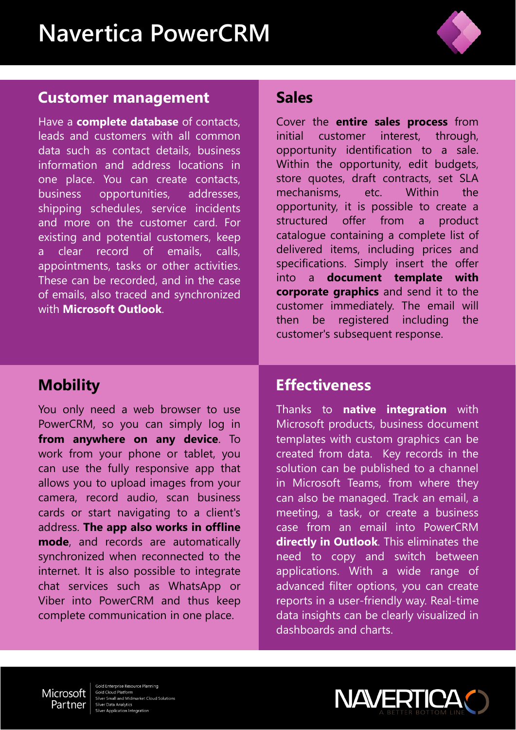

### **Customer management**

Have a **complete database** of contacts, leads and customers with all common data such as contact details, business information and address locations in one place. You can create contacts, business opportunities, addresses, shipping schedules, service incidents and more on the customer card. For existing and potential customers, keep a clear record of emails, calls, appointments, tasks or other activities. These can be recorded, and in the case of emails, also traced and synchronized with **Microsoft Outlook**.

# **Sales**

Cover the **entire sales process** from initial customer interest, through, opportunity identification to a sale. Within the opportunity, edit budgets, store quotes, draft contracts, set SLA mechanisms, etc. Within the opportunity, it is possible to create a structured offer from a product catalogue containing a complete list of delivered items, including prices and specifications. Simply insert the offer into a **document template with corporate graphics** and send it to the customer immediately. The email will then be registered including the customer's subsequent response.

# **Mobility**

You only need a web browser to use PowerCRM, so you can simply log in **from anywhere on any device**. To work from your phone or tablet, you can use the fully responsive app that allows you to upload images from your camera, record audio, scan business cards or start navigating to a client's address. **The app also works in offline mode**, and records are automatically synchronized when reconnected to the internet. It is also possible to integrate chat services such as WhatsApp or Viber into PowerCRM and thus keep complete communication in one place.

## **Effectiveness**

Thanks to **native integration** with Microsoft products, business document templates with custom graphics can be created from data. Key records in the solution can be published to a channel in Microsoft Teams, from where they can also be managed. Track an email, a meeting, a task, or create a business case from an email into PowerCRM **directly in Outlook**. This eliminates the need to copy and switch between applications. With a wide range of advanced filter options, you can create reports in a user-friendly way. Real-time data insights can be clearly visualized in dashboards and charts.



old Enterprise Resource Planning **Gold Cloud Platform** e Sesse Fletterm<br>er Small and Midmarket Cloud Solutions er Data Analytics